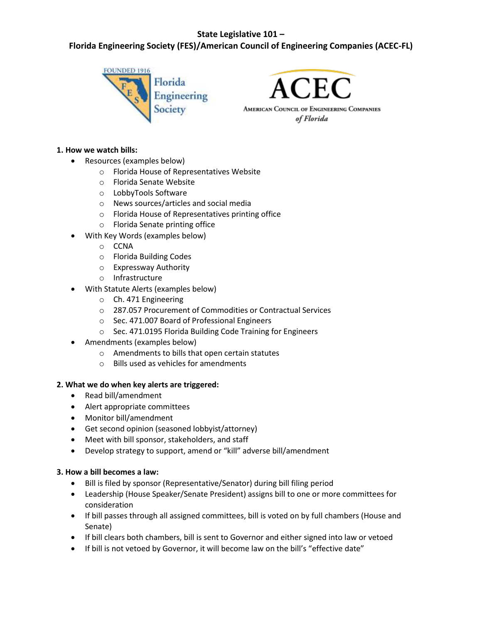## **State Legislative 101 –**

# **Florida Engineering Society (FES)/American Council of Engineering Companies (ACEC-FL)**





of Florida

#### **1. How we watch bills:**

- Resources (examples below)
	- o Florida House of Representatives Website
	- o Florida Senate Website
	- o LobbyTools Software
	- o News sources/articles and social media
	- o Florida House of Representatives printing office
	- o Florida Senate printing office
- With Key Words (examples below)
	- o CCNA
	- o Florida Building Codes
	- o Expressway Authority
	- o Infrastructure
- With Statute Alerts (examples below)
	- o Ch. 471 Engineering
	- o 287.057 Procurement of Commodities or Contractual Services
	- o Sec. 471.007 Board of Professional Engineers
	- o Sec. 471.0195 Florida Building Code Training for Engineers
- Amendments (examples below)
	- o Amendments to bills that open certain statutes
	- o Bills used as vehicles for amendments

#### **2. What we do when key alerts are triggered:**

- Read bill/amendment
- Alert appropriate committees
- Monitor bill/amendment
- Get second opinion (seasoned lobbyist/attorney)
- Meet with bill sponsor, stakeholders, and staff
- Develop strategy to support, amend or "kill" adverse bill/amendment

#### **3. How a bill becomes a law:**

- Bill is filed by sponsor (Representative/Senator) during bill filing period
- Leadership (House Speaker/Senate President) assigns bill to one or more committees for consideration
- If bill passes through all assigned committees, bill is voted on by full chambers (House and Senate)
- If bill clears both chambers, bill is sent to Governor and either signed into law or vetoed
- If bill is not vetoed by Governor, it will become law on the bill's "effective date"